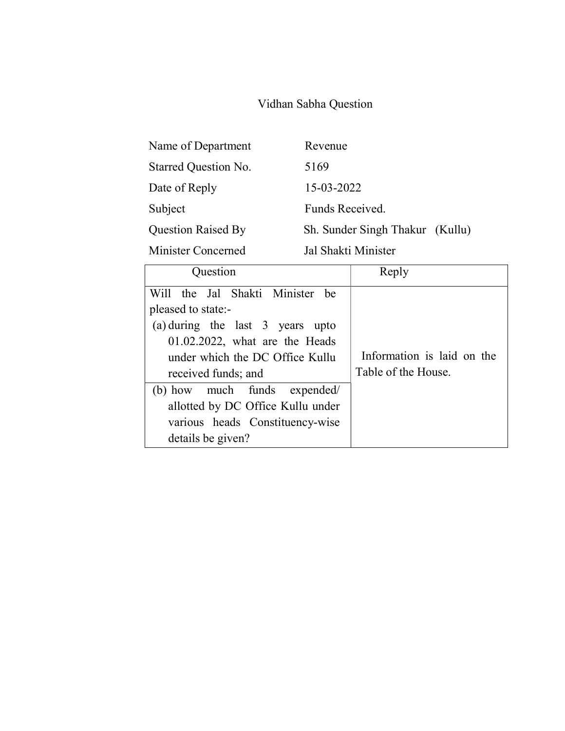## Vidhan Sabha Question

| Name of Department        | Revenue                         |
|---------------------------|---------------------------------|
| Starred Question No.      | 5169                            |
| Date of Reply             | 15-03-2022                      |
| Subject                   | Funds Received.                 |
| <b>Question Raised By</b> | Sh. Sunder Singh Thakur (Kullu) |
| Minister Concerned        | Jal Shakti Minister             |

| Question                                                                                                                                                                                                                                                                                                              | Reply                                             |
|-----------------------------------------------------------------------------------------------------------------------------------------------------------------------------------------------------------------------------------------------------------------------------------------------------------------------|---------------------------------------------------|
| Will the Jal Shakti Minister be<br>pleased to state:-<br>(a) during the last 3 years upto<br>$01.02.2022$ , what are the Heads<br>under which the DC Office Kullu<br>received funds; and<br>(b) how much funds expended/<br>allotted by DC Office Kullu under<br>various heads Constituency-wise<br>details be given? | Information is laid on the<br>Table of the House. |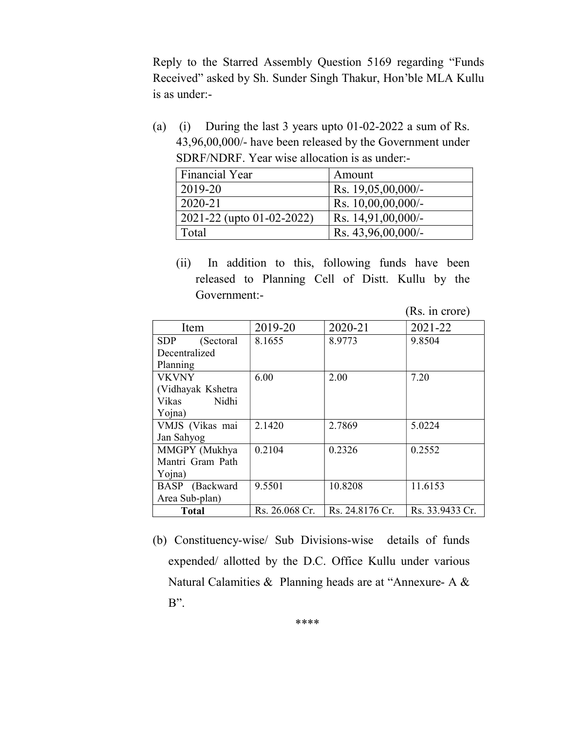Reply to the Starred Assembly Question 5169 regarding "Funds Received" asked by Sh. Sunder Singh Thakur, Hon'ble MLA Kullu is as under:-

(a) (i) During the last 3 years upto 01-02-2022 a sum of Rs. 43,96,00,000/- have been released by the Government under SDRF/NDRF. Year wise allocation is as under:-

| <b>Financial Year</b>     | Amount                |
|---------------------------|-----------------------|
| 2019-20                   | Rs. 19,05,00,000/-    |
| $2020 - 21$               | Rs. $10,00,00,000/$ - |
| 2021-22 (upto 01-02-2022) | Rs. $14,91,00,000/$ - |
| Total                     | Rs. 43,96,00,000/-    |

(ii) In addition to this, following funds have been released to Planning Cell of Distt. Kullu by the Government:-

(Rs. in crore)

| Item              | 2019-20        | 2020-21         | 2021-22         |  |
|-------------------|----------------|-----------------|-----------------|--|
| SDP<br>(Sectoral) | 8.1655         | 8.9773          | 9.8504          |  |
| Decentralized     |                |                 |                 |  |
| Planning          |                |                 |                 |  |
| <b>VKVNY</b>      | 6.00           | 2.00            | 7.20            |  |
| (Vidhayak Kshetra |                |                 |                 |  |
| Vikas<br>Nidhi    |                |                 |                 |  |
| Yojna)            |                |                 |                 |  |
| VMJS (Vikas mai   | 2.1420         | 2.7869          | 5.0224          |  |
| Jan Sahyog        |                |                 |                 |  |
| MMGPY (Mukhya     | 0.2104         | 0.2326          | 0.2552          |  |
| Mantri Gram Path  |                |                 |                 |  |
| Yojna)            |                |                 |                 |  |
| BASP (Backward    | 9.5501         | 10.8208         | 11.6153         |  |
| Area Sub-plan)    |                |                 |                 |  |
| <b>Total</b>      | Rs. 26.068 Cr. | Rs. 24.8176 Cr. | Rs. 33.9433 Cr. |  |

(b) Constituency-wise/ Sub Divisions-wise details of funds expended/ allotted by the D.C. Office Kullu under various Natural Calamities & Planning heads are at "Annexure- A & B".

\*\*\*\*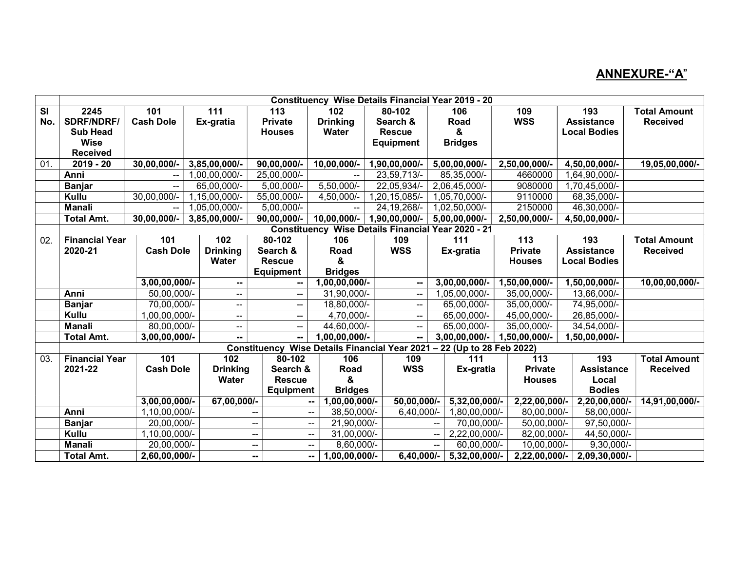## ANNEXURE-"A"

|     | <b>Constituency Wise Details Financial Year 2019 - 20</b> |                  |                          |                                                      |                  |                  |                                                                        |                  |                     |                     |
|-----|-----------------------------------------------------------|------------------|--------------------------|------------------------------------------------------|------------------|------------------|------------------------------------------------------------------------|------------------|---------------------|---------------------|
| SI  | 2245                                                      | 101              | 111                      | 113                                                  | 102 <sub>2</sub> | 80-102           | 106                                                                    | 109              | 193                 | <b>Total Amount</b> |
| No. | <b>SDRF/NDRF/</b>                                         | <b>Cash Dole</b> | Ex-gratia                | <b>Private</b>                                       | <b>Drinking</b>  | Search &         | Road                                                                   | <b>WSS</b>       | <b>Assistance</b>   | <b>Received</b>     |
|     | <b>Sub Head</b>                                           |                  |                          | <b>Houses</b>                                        | Water            | <b>Rescue</b>    | &                                                                      |                  | <b>Local Bodies</b> |                     |
|     | <b>Wise</b>                                               |                  |                          |                                                      |                  | <b>Equipment</b> | <b>Bridges</b>                                                         |                  |                     |                     |
|     | <b>Received</b>                                           |                  |                          |                                                      |                  |                  |                                                                        |                  |                     |                     |
| 01. | $2019 - 20$                                               | $30,00,000/-$    | 3,85,00,000/-            | 90,00,000/-                                          | $10,00,000/-$    | 1,90,00,000/-    | 5,00,00,000/-                                                          | 2,50,00,000/-    | 4,50,00,000/-       | 19,05,00,000/-      |
|     | Anni                                                      | --               | ,00,00,000/              | 25,00,000/-                                          |                  | 23,59,713/-      | 85,35,000/-                                                            | 4660000          | 1,64,90,000/-       |                     |
|     | <b>Banjar</b>                                             | $\overline{a}$   | 65,00,000/-              | $5,00,000/-$                                         | 5,50,000/-       | 22,05,934/-      | 2,06,45,000/-                                                          | 9080000          | 1,70,45,000/-       |                     |
|     | Kullu                                                     | 30,00,000/-      | 1,15,00,000/-            | 55,00,000/-                                          | 4,50,000/-       | 1,20,15,085/-    | 1,05,70,000/-                                                          | 9110000          | 68,35,000/-         |                     |
|     | <b>Manali</b>                                             | --               | 1,05,00,000/-            | 5,00,000/-                                           |                  | 24, 19, 268/-    | 1,02,50,000/-                                                          | 2150000          | 46,30,000/-         |                     |
|     | Total Amt.                                                | $30,00,000/-$    | $3,85,00,000/$ -         | $90,00,000/-$                                        | 10,00,000/-      | 1,90,00,000/-    | 5,00,00,000/-                                                          | 2,50,00,000/-    | 4,50,00,000/-       |                     |
|     |                                                           |                  |                          |                                                      |                  |                  | <b>Constituency Wise Details Financial Year 2020 - 21</b>              |                  |                     |                     |
| 02. | <b>Financial Year</b>                                     | 101              | 102                      | 80-102                                               | 106              | 109              | 111                                                                    | 113              | 193                 | <b>Total Amount</b> |
|     | 2020-21                                                   | <b>Cash Dole</b> | <b>Drinking</b>          | Search &                                             | Road             | <b>WSS</b>       | Ex-gratia                                                              | <b>Private</b>   | <b>Assistance</b>   | <b>Received</b>     |
|     |                                                           |                  | Water                    | <b>Rescue</b>                                        | &                |                  |                                                                        | <b>Houses</b>    | <b>Local Bodies</b> |                     |
|     |                                                           |                  |                          | <b>Equipment</b>                                     | <b>Bridges</b>   |                  |                                                                        |                  |                     |                     |
|     |                                                           | 3,00,00,000/-    | $\sim$                   | --                                                   | 1,00,00,000/-    | ⊷.               | $3,00,00,000/$ -                                                       | 1,50,00,000/-    | 1,50,00,000/-       | 10,00,00,000/-      |
|     | Anni                                                      | 50,00,000/-      | $\overline{\phantom{a}}$ | $\overline{a}$                                       | 31,90,000/-      | н.               | 1,05,00,000/-                                                          | 35,00,000/-      | 13,66,000/-         |                     |
|     | <b>Banjar</b>                                             | 70,00,000/-      | --                       | --                                                   | 18,80,000/-      | --               | 65,00,000/-                                                            | 35,00,000/-      | 74,95,000/-         |                     |
|     | Kullu                                                     | 1,00,00,000/-    | $\overline{\phantom{a}}$ | $\overline{a}$                                       | 4,70,000/-       | н.               | 65,00,000/-                                                            | 45,00,000/-      | 26,85,000/-         |                     |
|     | <b>Manali</b>                                             | 80,00,000/-      | --                       | --                                                   | 44,60,000/-      |                  | 65,00,000/-                                                            | 35,00,000/-      | 34,54,000/-         |                     |
|     | <b>Total Amt.</b>                                         | $3,00,00,000/$ - | --                       | $\overline{\phantom{a}}$                             | 1,00,00,000/-    | -−               | $3,00,00,000/$ -                                                       | $1,50,00,000/$ - | 1,50,00,000/-       |                     |
|     |                                                           |                  |                          |                                                      |                  |                  | Constituency Wise Details Financial Year 2021 - 22 (Up to 28 Feb 2022) |                  |                     |                     |
| 03. | <b>Financial Year</b>                                     | 101              | 102                      | 80-102                                               | 106              | 109              | 111                                                                    | 113              | 193                 | <b>Total Amount</b> |
|     | 2021-22                                                   | <b>Cash Dole</b> | <b>Drinking</b>          | Search &                                             | Road             | <b>WSS</b>       | Ex-gratia                                                              | <b>Private</b>   | <b>Assistance</b>   | <b>Received</b>     |
|     |                                                           |                  | Water                    | <b>Rescue</b>                                        | &                |                  |                                                                        | <b>Houses</b>    | Local               |                     |
|     |                                                           |                  |                          | <b>Equipment</b>                                     | <b>Bridges</b>   |                  |                                                                        |                  | <b>Bodies</b>       |                     |
|     |                                                           | 3,00,00,000/-    | 67,00,000/-              | $\sim$ $\sim$                                        | 1,00,00,000/-    | 50,00,000/-      | 5,32,00,000/-                                                          | 2,22,00,000/-    | $2,20,00,000/$ -    | 14,91,00,000/-      |
|     | Anni                                                      | 1,10,00,000/-    |                          | $\mathbf{u}$                                         | 38,50,000/-      | 6,40,000/-       | 1,80,00,000/-                                                          | 80,00,000/-      | 58,00,000/-         |                     |
|     | <b>Banjar</b>                                             | 20,00,000/-      |                          | --<br>--                                             | 21,90,000/-      |                  | 70,00,000/-                                                            | 50,00,000/-      | 97,50,000/-         |                     |
|     | Kullu                                                     | 1,10,00,000/-    |                          | $\overline{\phantom{a}}$<br>$\overline{\phantom{m}}$ | 31,00,000/-      |                  | 2,22,00,000/-                                                          | 82,00,000/-      | 44,50,000/-         |                     |
|     | <b>Manali</b>                                             | 20,00,000/-      |                          | --<br>$\sim$ $\sim$                                  | 8,60,000/-       |                  | 60,00,000/-<br>$\sim$ $-$                                              | 10,00,000/-      | $9,30,000/-$        |                     |
|     | <b>Total Amt.</b>                                         | 2,60,00,000/-    |                          | --<br>⊷.                                             | 1,00,00,000/-    | $6,40,000/-$     | $5,32,00,000/$ -                                                       | 2,22,00,000/-    | 2,09,30,000/-       |                     |